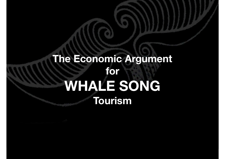### **The Economic Argument for WHALE SONG Tourism**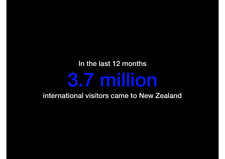## In the last 12 months 3.7 million

international visitors came to New Zealand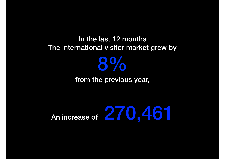#### In the last 12 months The international visitor market grew by

#### from the previous year,

8%

## An increase of 270,461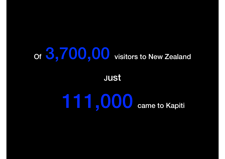## Of  $3,700,00$  visitors to New Zealand

#### **Just**

# 111,000 came to Kapiti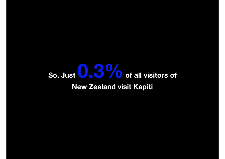### **So, Just 0.3% of all visitors of New Zealand visit Kapiti**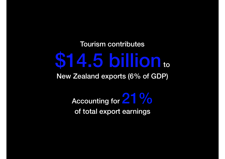Tourism contributes

# \$14.5 billion to

New Zealand exports (6% of GDP)

Accounting for 21 % of total export earnings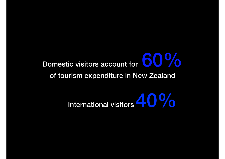# Domestic visitors account for 600%

of tourism expenditure in New Zealand

## International visitors  $40\%$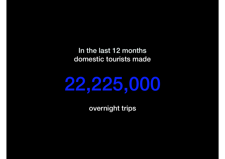In the last 12 months domestic tourists made



overnight trips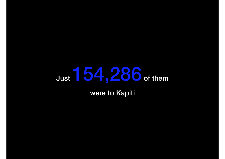## Just 154,286 of them

were to Kapiti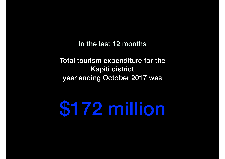In the last 12 months

Total tourism expenditure for the Kapiti district year ending October 2017 was

\$172 million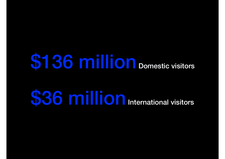# **\$136 million** Domestic visitors

# **\$36 million** International visitors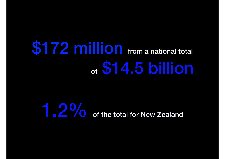## **\$172 million** from a national total of \$14.5 billion

## **1.2%** of the total for New Zealand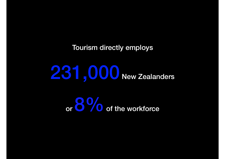Tourism directly employs

231,000 New Zealanders

or 8 % of the workforce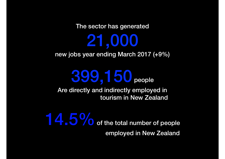The sector has generated

21,000 new jobs year ending March 2017 (+9%)

## 399,150 people

Are directly and indirectly employed in tourism in New Zealand

14.5% of the total number of people employed in New Zealand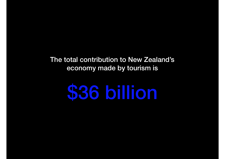The total contribution to New Zealand's economy made by tourism is

# \$36 billion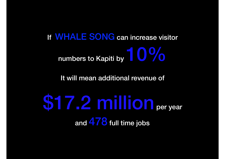If WHALE SONG can increase visitor numbers to Kapiti by  $10\%$ 

It will mean additional revenue of

\$17.2 million per year and 478 full time jobs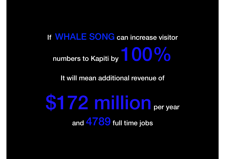If WHALE SONG can increase visitor numbers to Kapiti by  $100\%$ 

It will mean additional revenue of

\$172 million per year and 4789 full time jobs